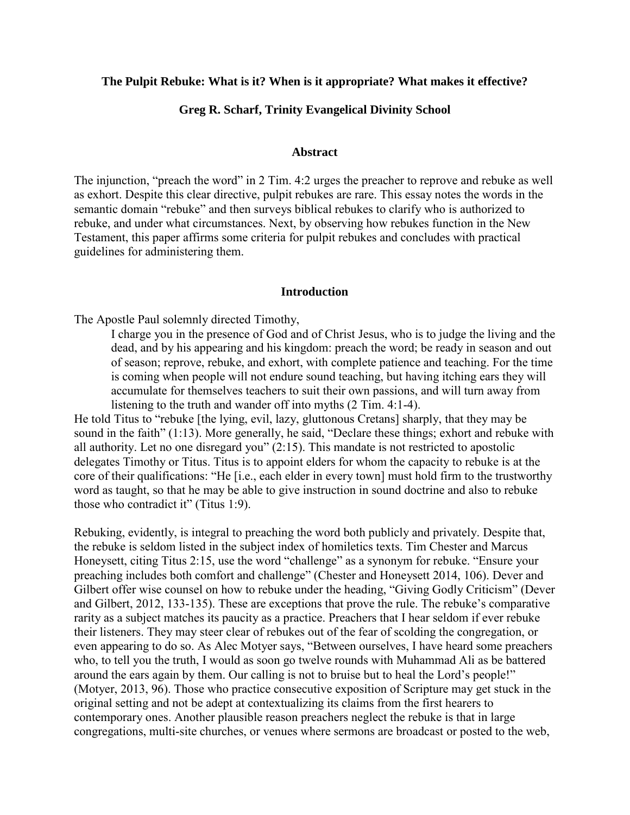### **The Pulpit Rebuke: What is it? When is it appropriate? What makes it effective?**

## **Greg R. Scharf, Trinity Evangelical Divinity School**

### **Abstract**

The injunction, "preach the word" in 2 Tim. 4:2 urges the preacher to reprove and rebuke as well as exhort. Despite this clear directive, pulpit rebukes are rare. This essay notes the words in the semantic domain "rebuke" and then surveys biblical rebukes to clarify who is authorized to rebuke, and under what circumstances. Next, by observing how rebukes function in the New Testament, this paper affirms some criteria for pulpit rebukes and concludes with practical guidelines for administering them.

#### **Introduction**

The Apostle Paul solemnly directed Timothy,

I charge you in the presence of God and of Christ Jesus, who is to judge the living and the dead, and by his appearing and his kingdom: preach the word; be ready in season and out of season; reprove, rebuke, and exhort, with complete patience and teaching. For the time is coming when people will not endure sound teaching, but having itching ears they will accumulate for themselves teachers to suit their own passions, and will turn away from listening to the truth and wander off into myths (2 Tim. 4:1-4).

He told Titus to "rebuke [the lying, evil, lazy, gluttonous Cretans] sharply, that they may be sound in the faith" (1:13). More generally, he said, "Declare these things; exhort and rebuke with all authority. Let no one disregard you" (2:15). This mandate is not restricted to apostolic delegates Timothy or Titus. Titus is to appoint elders for whom the capacity to rebuke is at the core of their qualifications: "He [i.e., each elder in every town] must hold firm to the trustworthy word as taught, so that he may be able to give instruction in sound doctrine and also to rebuke those who contradict it" (Titus 1:9).

Rebuking, evidently, is integral to preaching the word both publicly and privately. Despite that, the rebuke is seldom listed in the subject index of homiletics texts. Tim Chester and Marcus Honeysett, citing Titus 2:15, use the word "challenge" as a synonym for rebuke. "Ensure your preaching includes both comfort and challenge" (Chester and Honeysett 2014, 106). Dever and Gilbert offer wise counsel on how to rebuke under the heading, "Giving Godly Criticism" (Dever and Gilbert, 2012, 133-135). These are exceptions that prove the rule. The rebuke's comparative rarity as a subject matches its paucity as a practice. Preachers that I hear seldom if ever rebuke their listeners. They may steer clear of rebukes out of the fear of scolding the congregation, or even appearing to do so. As Alec Motyer says, "Between ourselves, I have heard some preachers who, to tell you the truth, I would as soon go twelve rounds with Muhammad Ali as be battered around the ears again by them. Our calling is not to bruise but to heal the Lord's people!" (Motyer, 2013, 96). Those who practice consecutive exposition of Scripture may get stuck in the original setting and not be adept at contextualizing its claims from the first hearers to contemporary ones. Another plausible reason preachers neglect the rebuke is that in large congregations, multi-site churches, or venues where sermons are broadcast or posted to the web,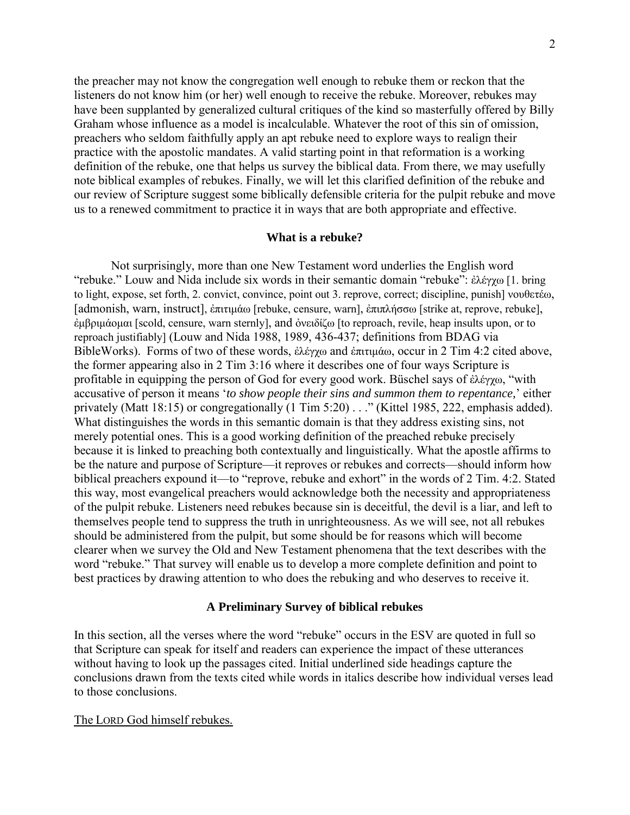the preacher may not know the congregation well enough to rebuke them or reckon that the listeners do not know him (or her) well enough to receive the rebuke. Moreover, rebukes may have been supplanted by generalized cultural critiques of the kind so masterfully offered by Billy Graham whose influence as a model is incalculable. Whatever the root of this sin of omission, preachers who seldom faithfully apply an apt rebuke need to explore ways to realign their practice with the apostolic mandates. A valid starting point in that reformation is a working definition of the rebuke, one that helps us survey the biblical data. From there, we may usefully note biblical examples of rebukes. Finally, we will let this clarified definition of the rebuke and our review of Scripture suggest some biblically defensible criteria for the pulpit rebuke and move us to a renewed commitment to practice it in ways that are both appropriate and effective.

## **What is a rebuke?**

 Not surprisingly, more than one New Testament word underlies the English word "rebuke." Louw and Nida include six words in their semantic domain "rebuke": ἐλέγχω [1. bring to light, expose, set forth, 2. convict, convince, point out 3. reprove, correct; discipline, punish] νουθετέω, [admonish, warn, instruct], ἐπιτιμάω [rebuke, censure, warn], ἐπιπλήσσω [strike at, reprove, rebuke], ἐμβριμάομαι [scold, censure, warn sternly], and ὀνειδίζω [to reproach, revile, heap insults upon, or to reproach justifiably] (Louw and Nida 1988, 1989, 436-437; definitions from BDAG via BibleWorks). Forms of two of these words, ἐλέγχω and ἐπιτιμάω, occur in 2 Tim 4:2 cited above, the former appearing also in 2 Tim 3:16 where it describes one of four ways Scripture is profitable in equipping the person of God for every good work. Büschel says of ἐλέγχω, "with accusative of person it means '*to show people their sins and summon them to repentance,*' either privately (Matt 18:15) or congregationally (1 Tim 5:20) . . ." (Kittel 1985, 222, emphasis added). What distinguishes the words in this semantic domain is that they address existing sins, not merely potential ones. This is a good working definition of the preached rebuke precisely because it is linked to preaching both contextually and linguistically. What the apostle affirms to be the nature and purpose of Scripture—it reproves or rebukes and corrects—should inform how biblical preachers expound it—to "reprove, rebuke and exhort" in the words of 2 Tim. 4:2. Stated this way, most evangelical preachers would acknowledge both the necessity and appropriateness of the pulpit rebuke. Listeners need rebukes because sin is deceitful, the devil is a liar, and left to themselves people tend to suppress the truth in unrighteousness. As we will see, not all rebukes should be administered from the pulpit, but some should be for reasons which will become clearer when we survey the Old and New Testament phenomena that the text describes with the word "rebuke." That survey will enable us to develop a more complete definition and point to best practices by drawing attention to who does the rebuking and who deserves to receive it.

### **A Preliminary Survey of biblical rebukes**

In this section, all the verses where the word "rebuke" occurs in the ESV are quoted in full so that Scripture can speak for itself and readers can experience the impact of these utterances without having to look up the passages cited. Initial underlined side headings capture the conclusions drawn from the texts cited while words in italics describe how individual verses lead to those conclusions.

#### The LORD God himself rebukes.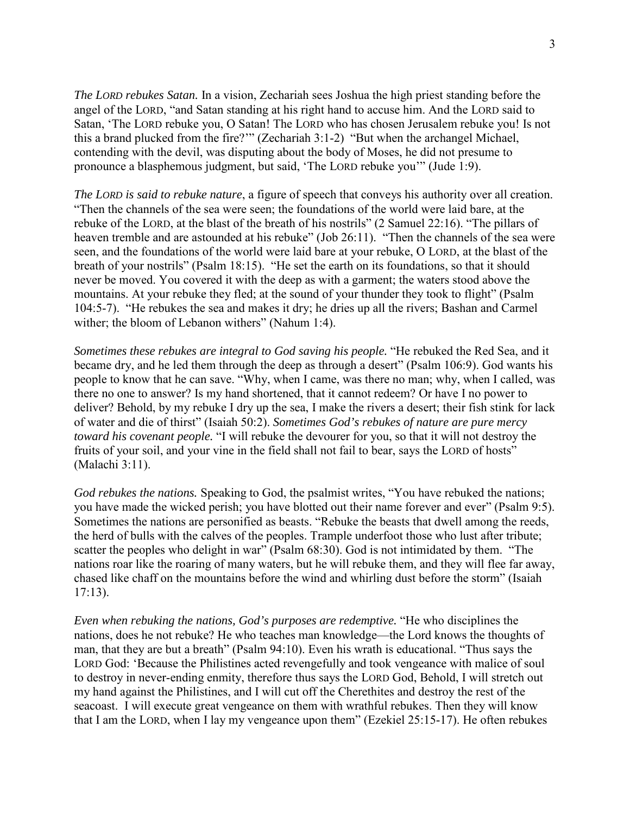*The LORD rebukes Satan.* In a vision, Zechariah sees Joshua the high priest standing before the angel of the LORD, "and Satan standing at his right hand to accuse him. And the LORD said to Satan, 'The LORD rebuke you, O Satan! The LORD who has chosen Jerusalem rebuke you! Is not this a brand plucked from the fire?'" (Zechariah 3:1-2) "But when the archangel Michael, contending with the devil, was disputing about the body of Moses, he did not presume to pronounce a blasphemous judgment, but said, 'The LORD rebuke you'" (Jude 1:9).

*The LORD is said to rebuke nature*, a figure of speech that conveys his authority over all creation. "Then the channels of the sea were seen; the foundations of the world were laid bare, at the rebuke of the LORD, at the blast of the breath of his nostrils" (2 Samuel 22:16). "The pillars of heaven tremble and are astounded at his rebuke" (Job 26:11). "Then the channels of the sea were seen, and the foundations of the world were laid bare at your rebuke, O LORD, at the blast of the breath of your nostrils" (Psalm 18:15). "He set the earth on its foundations, so that it should never be moved. You covered it with the deep as with a garment; the waters stood above the mountains. At your rebuke they fled; at the sound of your thunder they took to flight" (Psalm 104:5-7). "He rebukes the sea and makes it dry; he dries up all the rivers; Bashan and Carmel wither; the bloom of Lebanon withers" (Nahum 1:4).

*Sometimes these rebukes are integral to God saving his people.* "He rebuked the Red Sea, and it became dry, and he led them through the deep as through a desert" (Psalm 106:9). God wants his people to know that he can save. "Why, when I came, was there no man; why, when I called, was there no one to answer? Is my hand shortened, that it cannot redeem? Or have I no power to deliver? Behold, by my rebuke I dry up the sea, I make the rivers a desert; their fish stink for lack of water and die of thirst" (Isaiah 50:2). *Sometimes God's rebukes of nature are pure mercy toward his covenant people.* "I will rebuke the devourer for you, so that it will not destroy the fruits of your soil, and your vine in the field shall not fail to bear, says the LORD of hosts" (Malachi 3:11).

*God rebukes the nations.* Speaking to God, the psalmist writes, "You have rebuked the nations; you have made the wicked perish; you have blotted out their name forever and ever" (Psalm 9:5). Sometimes the nations are personified as beasts. "Rebuke the beasts that dwell among the reeds, the herd of bulls with the calves of the peoples. Trample underfoot those who lust after tribute; scatter the peoples who delight in war" (Psalm 68:30). God is not intimidated by them. "The nations roar like the roaring of many waters, but he will rebuke them, and they will flee far away, chased like chaff on the mountains before the wind and whirling dust before the storm" (Isaiah 17:13).

*Even when rebuking the nations, God's purposes are redemptive.* "He who disciplines the nations, does he not rebuke? He who teaches man knowledge—the Lord knows the thoughts of man, that they are but a breath" (Psalm 94:10). Even his wrath is educational. "Thus says the LORD God: 'Because the Philistines acted revengefully and took vengeance with malice of soul to destroy in never-ending enmity, therefore thus says the LORD God, Behold, I will stretch out my hand against the Philistines, and I will cut off the Cherethites and destroy the rest of the seacoast. I will execute great vengeance on them with wrathful rebukes. Then they will know that I am the LORD, when I lay my vengeance upon them" (Ezekiel 25:15-17). He often rebukes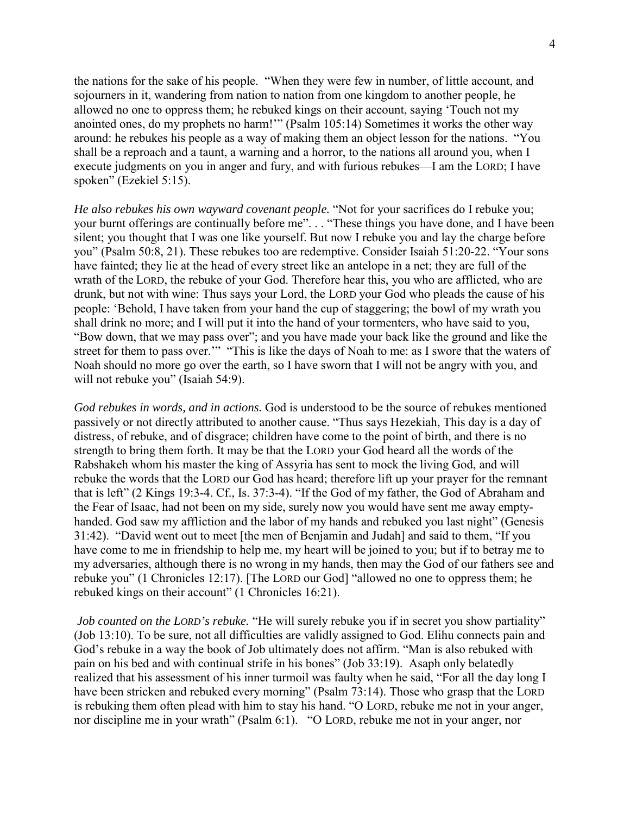the nations for the sake of his people. "When they were few in number, of little account, and sojourners in it, wandering from nation to nation from one kingdom to another people, he allowed no one to oppress them; he rebuked kings on their account, saying 'Touch not my anointed ones, do my prophets no harm!'" (Psalm 105:14) Sometimes it works the other way around: he rebukes his people as a way of making them an object lesson for the nations. "You shall be a reproach and a taunt, a warning and a horror, to the nations all around you, when I execute judgments on you in anger and fury, and with furious rebukes—I am the LORD; I have spoken" (Ezekiel 5:15).

*He also rebukes his own wayward covenant people.* "Not for your sacrifices do I rebuke you; your burnt offerings are continually before me". . . "These things you have done, and I have been silent; you thought that I was one like yourself. But now I rebuke you and lay the charge before you" (Psalm 50:8, 21). These rebukes too are redemptive. Consider Isaiah 51:20-22. "Your sons have fainted; they lie at the head of every street like an antelope in a net; they are full of the wrath of the LORD, the rebuke of your God. Therefore hear this, you who are afflicted, who are drunk, but not with wine: Thus says your Lord, the LORD your God who pleads the cause of his people: 'Behold, I have taken from your hand the cup of staggering; the bowl of my wrath you shall drink no more; and I will put it into the hand of your tormenters, who have said to you, "Bow down, that we may pass over"; and you have made your back like the ground and like the street for them to pass over.'" "This is like the days of Noah to me: as I swore that the waters of Noah should no more go over the earth, so I have sworn that I will not be angry with you, and will not rebuke you" (Isaiah 54:9).

*God rebukes in words, and in actions.* God is understood to be the source of rebukes mentioned passively or not directly attributed to another cause. "Thus says Hezekiah, This day is a day of distress, of rebuke, and of disgrace; children have come to the point of birth, and there is no strength to bring them forth. It may be that the LORD your God heard all the words of the Rabshakeh whom his master the king of Assyria has sent to mock the living God, and will rebuke the words that the LORD our God has heard; therefore lift up your prayer for the remnant that is left" (2 Kings 19:3-4. Cf., Is. 37:3-4). "If the God of my father, the God of Abraham and the Fear of Isaac, had not been on my side, surely now you would have sent me away emptyhanded. God saw my affliction and the labor of my hands and rebuked you last night" (Genesis 31:42). "David went out to meet [the men of Benjamin and Judah] and said to them, "If you have come to me in friendship to help me, my heart will be joined to you; but if to betray me to my adversaries, although there is no wrong in my hands, then may the God of our fathers see and rebuke you" (1 Chronicles 12:17). [The LORD our God] "allowed no one to oppress them; he rebuked kings on their account" (1 Chronicles 16:21).

*Job counted on the LORD's rebuke.* "He will surely rebuke you if in secret you show partiality" (Job 13:10). To be sure, not all difficulties are validly assigned to God. Elihu connects pain and God's rebuke in a way the book of Job ultimately does not affirm. "Man is also rebuked with pain on his bed and with continual strife in his bones" (Job 33:19). Asaph only belatedly realized that his assessment of his inner turmoil was faulty when he said, "For all the day long I have been stricken and rebuked every morning" (Psalm 73:14). Those who grasp that the LORD is rebuking them often plead with him to stay his hand. "O LORD, rebuke me not in your anger, nor discipline me in your wrath" (Psalm 6:1). "O LORD, rebuke me not in your anger, nor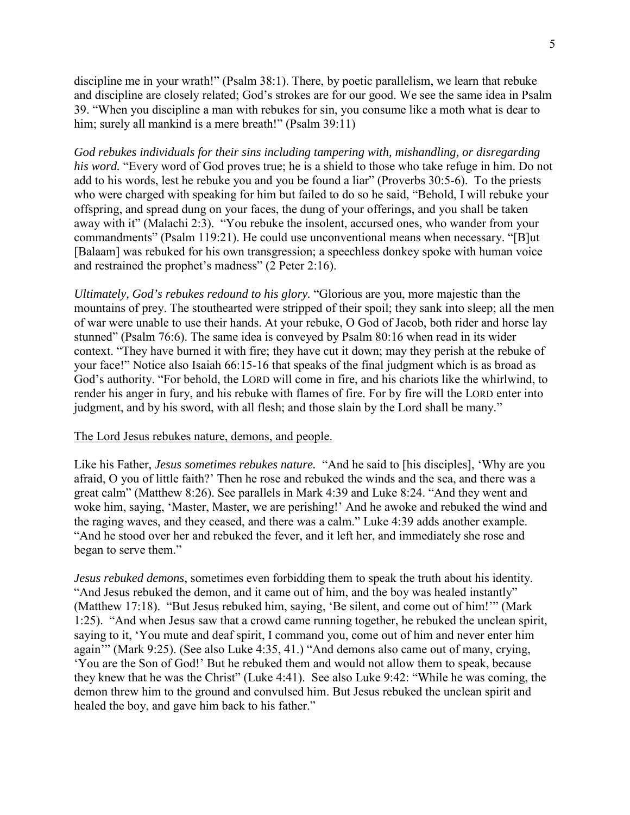discipline me in your wrath!" (Psalm 38:1). There, by poetic parallelism, we learn that rebuke and discipline are closely related; God's strokes are for our good. We see the same idea in Psalm 39. "When you discipline a man with rebukes for sin, you consume like a moth what is dear to him; surely all mankind is a mere breath!" (Psalm 39:11)

*God rebukes individuals for their sins including tampering with, mishandling, or disregarding his word.* "Every word of God proves true; he is a shield to those who take refuge in him. Do not add to his words, lest he rebuke you and you be found a liar" (Proverbs 30:5-6). To the priests who were charged with speaking for him but failed to do so he said, "Behold, I will rebuke your offspring, and spread dung on your faces, the dung of your offerings, and you shall be taken away with it" (Malachi 2:3). "You rebuke the insolent, accursed ones, who wander from your commandments" (Psalm 119:21). He could use unconventional means when necessary. "[B]ut [Balaam] was rebuked for his own transgression; a speechless donkey spoke with human voice and restrained the prophet's madness" (2 Peter 2:16).

*Ultimately, God's rebukes redound to his glory.* "Glorious are you, more majestic than the mountains of prey. The stouthearted were stripped of their spoil; they sank into sleep; all the men of war were unable to use their hands. At your rebuke, O God of Jacob, both rider and horse lay stunned" (Psalm 76:6). The same idea is conveyed by Psalm 80:16 when read in its wider context. "They have burned it with fire; they have cut it down; may they perish at the rebuke of your face!" Notice also Isaiah 66:15-16 that speaks of the final judgment which is as broad as God's authority. "For behold, the LORD will come in fire, and his chariots like the whirlwind, to render his anger in fury, and his rebuke with flames of fire. For by fire will the LORD enter into judgment, and by his sword, with all flesh; and those slain by the Lord shall be many."

## The Lord Jesus rebukes nature, demons, and people.

Like his Father, *Jesus sometimes rebukes nature.* "And he said to [his disciples], 'Why are you afraid, O you of little faith?' Then he rose and rebuked the winds and the sea, and there was a great calm" (Matthew 8:26). See parallels in Mark 4:39 and Luke 8:24. "And they went and woke him, saying, 'Master, Master, we are perishing!' And he awoke and rebuked the wind and the raging waves, and they ceased, and there was a calm." Luke 4:39 adds another example. "And he stood over her and rebuked the fever, and it left her, and immediately she rose and began to serve them."

*Jesus rebuked demons*, sometimes even forbidding them to speak the truth about his identity. "And Jesus rebuked the demon, and it came out of him, and the boy was healed instantly" (Matthew 17:18). "But Jesus rebuked him, saying, 'Be silent, and come out of him!'" (Mark 1:25). "And when Jesus saw that a crowd came running together, he rebuked the unclean spirit, saying to it, 'You mute and deaf spirit, I command you, come out of him and never enter him again'" (Mark 9:25). (See also Luke 4:35, 41.) "And demons also came out of many, crying, 'You are the Son of God!' But he rebuked them and would not allow them to speak, because they knew that he was the Christ" (Luke 4:41). See also Luke 9:42: "While he was coming, the demon threw him to the ground and convulsed him. But Jesus rebuked the unclean spirit and healed the boy, and gave him back to his father."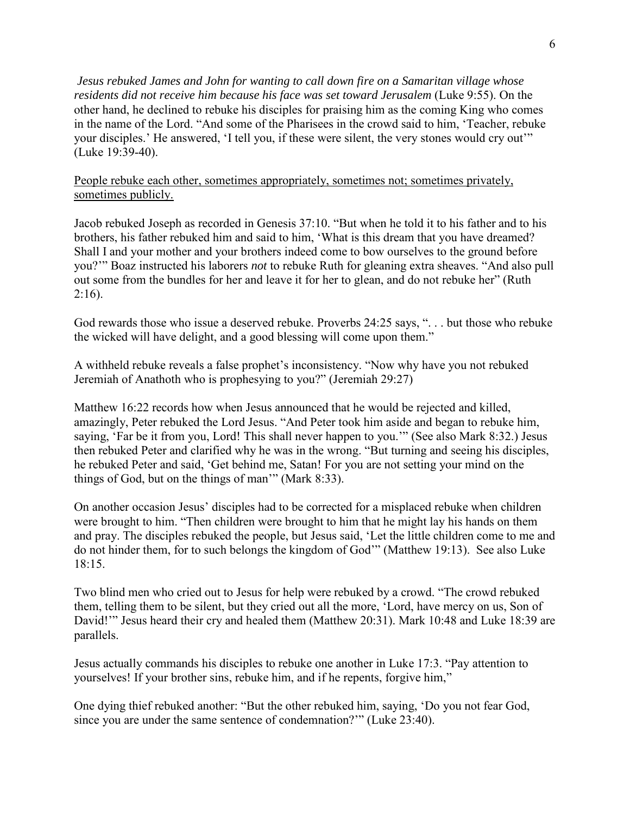*Jesus rebuked James and John for wanting to call down fire on a Samaritan village whose residents did not receive him because his face was set toward Jerusalem* (Luke 9:55). On the other hand, he declined to rebuke his disciples for praising him as the coming King who comes in the name of the Lord. "And some of the Pharisees in the crowd said to him, 'Teacher, rebuke your disciples.' He answered, 'I tell you, if these were silent, the very stones would cry out'" (Luke 19:39-40).

People rebuke each other, sometimes appropriately, sometimes not; sometimes privately, sometimes publicly.

Jacob rebuked Joseph as recorded in Genesis 37:10. "But when he told it to his father and to his brothers, his father rebuked him and said to him, 'What is this dream that you have dreamed? Shall I and your mother and your brothers indeed come to bow ourselves to the ground before you?'" Boaz instructed his laborers *not* to rebuke Ruth for gleaning extra sheaves. "And also pull out some from the bundles for her and leave it for her to glean, and do not rebuke her" (Ruth  $2:16$ ).

God rewards those who issue a deserved rebuke. Proverbs 24:25 says, ". . . but those who rebuke the wicked will have delight, and a good blessing will come upon them."

A withheld rebuke reveals a false prophet's inconsistency. "Now why have you not rebuked Jeremiah of Anathoth who is prophesying to you?" (Jeremiah 29:27)

Matthew 16:22 records how when Jesus announced that he would be rejected and killed, amazingly, Peter rebuked the Lord Jesus. "And Peter took him aside and began to rebuke him, saying, 'Far be it from you, Lord! This shall never happen to you.'" (See also Mark 8:32.) Jesus then rebuked Peter and clarified why he was in the wrong. "But turning and seeing his disciples, he rebuked Peter and said, 'Get behind me, Satan! For you are not setting your mind on the things of God, but on the things of man'" (Mark 8:33).

On another occasion Jesus' disciples had to be corrected for a misplaced rebuke when children were brought to him. "Then children were brought to him that he might lay his hands on them and pray. The disciples rebuked the people, but Jesus said, 'Let the little children come to me and do not hinder them, for to such belongs the kingdom of God'" (Matthew 19:13). See also Luke 18:15.

Two blind men who cried out to Jesus for help were rebuked by a crowd. "The crowd rebuked them, telling them to be silent, but they cried out all the more, 'Lord, have mercy on us, Son of David!"" Jesus heard their cry and healed them (Matthew 20:31). Mark 10:48 and Luke 18:39 are parallels.

Jesus actually commands his disciples to rebuke one another in Luke 17:3. "Pay attention to yourselves! If your brother sins, rebuke him, and if he repents, forgive him,"

One dying thief rebuked another: "But the other rebuked him, saying, 'Do you not fear God, since you are under the same sentence of condemnation?'" (Luke 23:40).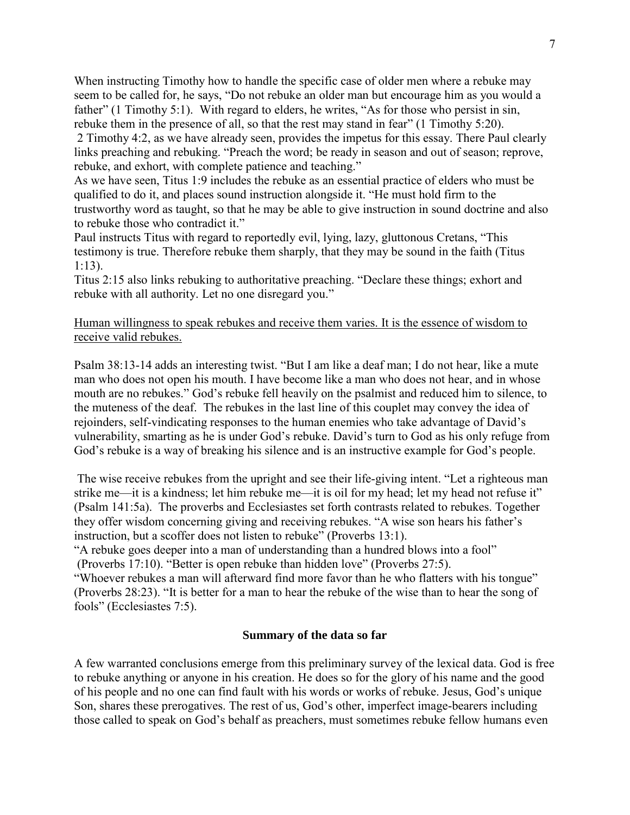When instructing Timothy how to handle the specific case of older men where a rebuke may seem to be called for, he says, "Do not rebuke an older man but encourage him as you would a father" (1 Timothy 5:1). With regard to elders, he writes, "As for those who persist in sin, rebuke them in the presence of all, so that the rest may stand in fear" (1 Timothy 5:20).

2 Timothy 4:2, as we have already seen, provides the impetus for this essay. There Paul clearly links preaching and rebuking. "Preach the word; be ready in season and out of season; reprove, rebuke, and exhort, with complete patience and teaching."

As we have seen, Titus 1:9 includes the rebuke as an essential practice of elders who must be qualified to do it, and places sound instruction alongside it. "He must hold firm to the trustworthy word as taught, so that he may be able to give instruction in sound doctrine and also to rebuke those who contradict it."

Paul instructs Titus with regard to reportedly evil, lying, lazy, gluttonous Cretans, "This testimony is true. Therefore rebuke them sharply, that they may be sound in the faith (Titus 1:13).

Titus 2:15 also links rebuking to authoritative preaching. "Declare these things; exhort and rebuke with all authority. Let no one disregard you."

# Human willingness to speak rebukes and receive them varies. It is the essence of wisdom to receive valid rebukes.

Psalm 38:13-14 adds an interesting twist. "But I am like a deaf man; I do not hear, like a mute man who does not open his mouth. I have become like a man who does not hear, and in whose mouth are no rebukes." God's rebuke fell heavily on the psalmist and reduced him to silence, to the muteness of the deaf. The rebukes in the last line of this couplet may convey the idea of rejoinders, self-vindicating responses to the human enemies who take advantage of David's vulnerability, smarting as he is under God's rebuke. David's turn to God as his only refuge from God's rebuke is a way of breaking his silence and is an instructive example for God's people.

 The wise receive rebukes from the upright and see their life-giving intent. "Let a righteous man strike me—it is a kindness; let him rebuke me—it is oil for my head; let my head not refuse it" (Psalm 141:5a). The proverbs and Ecclesiastes set forth contrasts related to rebukes. Together they offer wisdom concerning giving and receiving rebukes. "A wise son hears his father's instruction, but a scoffer does not listen to rebuke" (Proverbs 13:1).

"A rebuke goes deeper into a man of understanding than a hundred blows into a fool" (Proverbs 17:10). "Better is open rebuke than hidden love" (Proverbs 27:5).

"Whoever rebukes a man will afterward find more favor than he who flatters with his tongue" (Proverbs 28:23). "It is better for a man to hear the rebuke of the wise than to hear the song of fools" (Ecclesiastes 7:5).

# **Summary of the data so far**

A few warranted conclusions emerge from this preliminary survey of the lexical data. God is free to rebuke anything or anyone in his creation. He does so for the glory of his name and the good of his people and no one can find fault with his words or works of rebuke. Jesus, God's unique Son, shares these prerogatives. The rest of us, God's other, imperfect image-bearers including those called to speak on God's behalf as preachers, must sometimes rebuke fellow humans even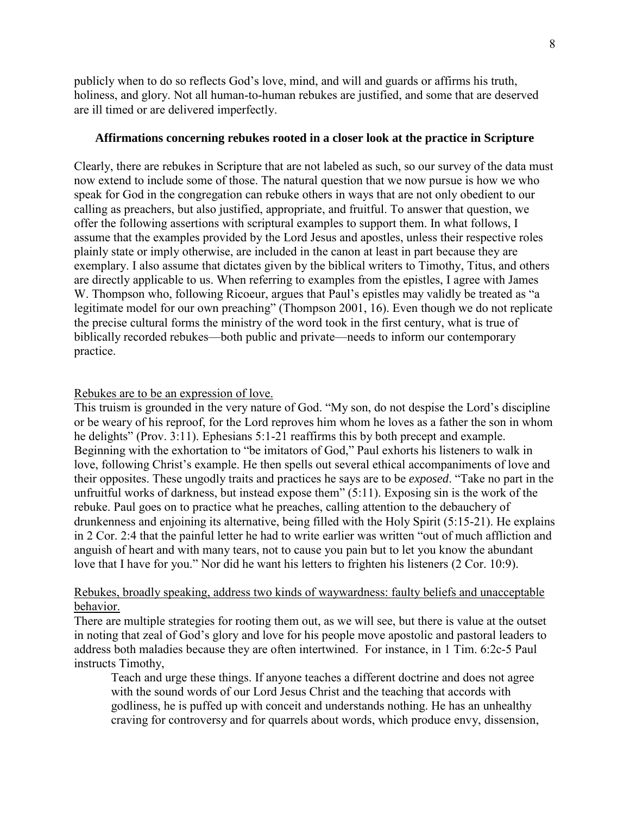publicly when to do so reflects God's love, mind, and will and guards or affirms his truth, holiness, and glory. Not all human-to-human rebukes are justified, and some that are deserved are ill timed or are delivered imperfectly.

### **Affirmations concerning rebukes rooted in a closer look at the practice in Scripture**

Clearly, there are rebukes in Scripture that are not labeled as such, so our survey of the data must now extend to include some of those. The natural question that we now pursue is how we who speak for God in the congregation can rebuke others in ways that are not only obedient to our calling as preachers, but also justified, appropriate, and fruitful. To answer that question, we offer the following assertions with scriptural examples to support them. In what follows, I assume that the examples provided by the Lord Jesus and apostles, unless their respective roles plainly state or imply otherwise, are included in the canon at least in part because they are exemplary. I also assume that dictates given by the biblical writers to Timothy, Titus, and others are directly applicable to us. When referring to examples from the epistles, I agree with James W. Thompson who, following Ricoeur, argues that Paul's epistles may validly be treated as "a legitimate model for our own preaching" (Thompson 2001, 16). Even though we do not replicate the precise cultural forms the ministry of the word took in the first century, what is true of biblically recorded rebukes—both public and private—needs to inform our contemporary practice.

#### Rebukes are to be an expression of love.

This truism is grounded in the very nature of God. "My son, do not despise the Lord's discipline or be weary of his reproof, for the Lord reproves him whom he loves as a father the son in whom he delights" (Prov. 3:11). Ephesians 5:1-21 reaffirms this by both precept and example. Beginning with the exhortation to "be imitators of God," Paul exhorts his listeners to walk in love, following Christ's example. He then spells out several ethical accompaniments of love and their opposites. These ungodly traits and practices he says are to be *exposed*. "Take no part in the unfruitful works of darkness, but instead expose them" (5:11). Exposing sin is the work of the rebuke. Paul goes on to practice what he preaches, calling attention to the debauchery of drunkenness and enjoining its alternative, being filled with the Holy Spirit (5:15-21). He explains in 2 Cor. 2:4 that the painful letter he had to write earlier was written "out of much affliction and anguish of heart and with many tears, not to cause you pain but to let you know the abundant love that I have for you." Nor did he want his letters to frighten his listeners (2 Cor. 10:9).

## Rebukes, broadly speaking, address two kinds of waywardness: faulty beliefs and unacceptable behavior.

There are multiple strategies for rooting them out, as we will see, but there is value at the outset in noting that zeal of God's glory and love for his people move apostolic and pastoral leaders to address both maladies because they are often intertwined. For instance, in 1 Tim. 6:2c-5 Paul instructs Timothy,

Teach and urge these things. If anyone teaches a different doctrine and does not agree with the sound words of our Lord Jesus Christ and the teaching that accords with godliness, he is puffed up with conceit and understands nothing. He has an unhealthy craving for controversy and for quarrels about words, which produce envy, dissension,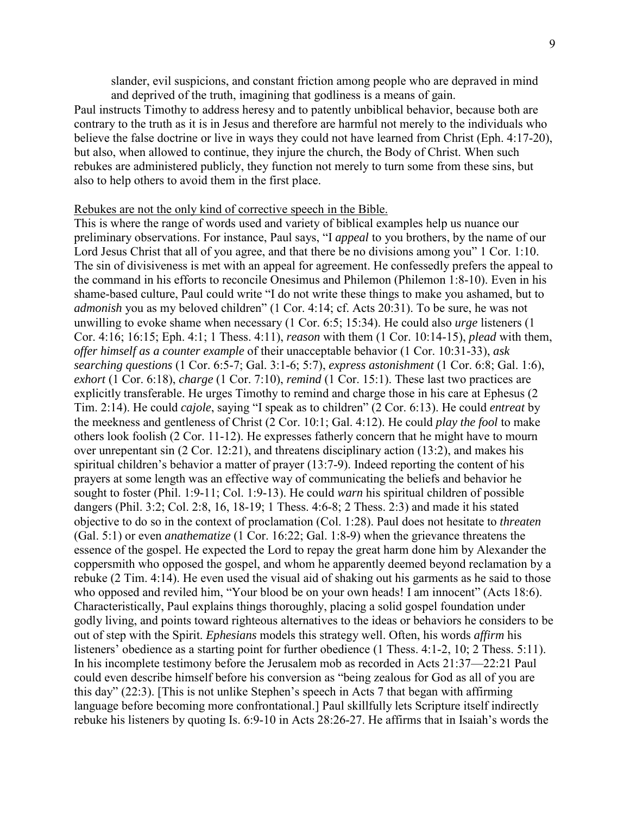slander, evil suspicions, and constant friction among people who are depraved in mind and deprived of the truth, imagining that godliness is a means of gain.

Paul instructs Timothy to address heresy and to patently unbiblical behavior, because both are contrary to the truth as it is in Jesus and therefore are harmful not merely to the individuals who believe the false doctrine or live in ways they could not have learned from Christ (Eph. 4:17-20), but also, when allowed to continue, they injure the church, the Body of Christ. When such rebukes are administered publicly, they function not merely to turn some from these sins, but also to help others to avoid them in the first place.

#### Rebukes are not the only kind of corrective speech in the Bible.

This is where the range of words used and variety of biblical examples help us nuance our preliminary observations. For instance, Paul says, "I *appeal* to you brothers, by the name of our Lord Jesus Christ that all of you agree, and that there be no divisions among you" 1 Cor. 1:10. The sin of divisiveness is met with an appeal for agreement. He confessedly prefers the appeal to the command in his efforts to reconcile Onesimus and Philemon (Philemon 1:8-10). Even in his shame-based culture, Paul could write "I do not write these things to make you ashamed, but to *admonish* you as my beloved children" (1 Cor. 4:14; cf. Acts 20:31). To be sure, he was not unwilling to evoke shame when necessary (1 Cor. 6:5; 15:34). He could also *urge* listeners (1 Cor. 4:16; 16:15; Eph. 4:1; 1 Thess. 4:11), *reason* with them (1 Cor. 10:14-15), *plead* with them, *offer himself as a counter example* of their unacceptable behavior (1 Cor. 10:31-33), *ask searching questions* (1 Cor. 6:5-7; Gal. 3:1-6; 5:7), *express astonishment* (1 Cor. 6:8; Gal. 1:6), *exhort* (1 Cor. 6:18), *charge* (1 Cor. 7:10), *remind* (1 Cor. 15:1). These last two practices are explicitly transferable. He urges Timothy to remind and charge those in his care at Ephesus (2 Tim. 2:14). He could *cajole*, saying "I speak as to children" (2 Cor. 6:13). He could *entreat* by the meekness and gentleness of Christ (2 Cor. 10:1; Gal. 4:12). He could *play the fool* to make others look foolish (2 Cor. 11-12). He expresses fatherly concern that he might have to mourn over unrepentant sin (2 Cor. 12:21), and threatens disciplinary action (13:2), and makes his spiritual children's behavior a matter of prayer (13:7-9). Indeed reporting the content of his prayers at some length was an effective way of communicating the beliefs and behavior he sought to foster (Phil. 1:9-11; Col. 1:9-13). He could *warn* his spiritual children of possible dangers (Phil. 3:2; Col. 2:8, 16, 18-19; 1 Thess. 4:6-8; 2 Thess. 2:3) and made it his stated objective to do so in the context of proclamation (Col. 1:28). Paul does not hesitate to *threaten*  (Gal. 5:1) or even *anathematize* (1 Cor. 16:22; Gal. 1:8-9) when the grievance threatens the essence of the gospel. He expected the Lord to repay the great harm done him by Alexander the coppersmith who opposed the gospel, and whom he apparently deemed beyond reclamation by a rebuke (2 Tim. 4:14). He even used the visual aid of shaking out his garments as he said to those who opposed and reviled him, "Your blood be on your own heads! I am innocent" (Acts 18:6). Characteristically, Paul explains things thoroughly, placing a solid gospel foundation under godly living, and points toward righteous alternatives to the ideas or behaviors he considers to be out of step with the Spirit. *Ephesians* models this strategy well. Often, his words *affirm* his listeners' obedience as a starting point for further obedience (1 Thess, 4:1-2, 10; 2 Thess, 5:11). In his incomplete testimony before the Jerusalem mob as recorded in Acts 21:37—22:21 Paul could even describe himself before his conversion as "being zealous for God as all of you are this day" (22:3). [This is not unlike Stephen's speech in Acts 7 that began with affirming language before becoming more confrontational.] Paul skillfully lets Scripture itself indirectly rebuke his listeners by quoting Is. 6:9-10 in Acts 28:26-27. He affirms that in Isaiah's words the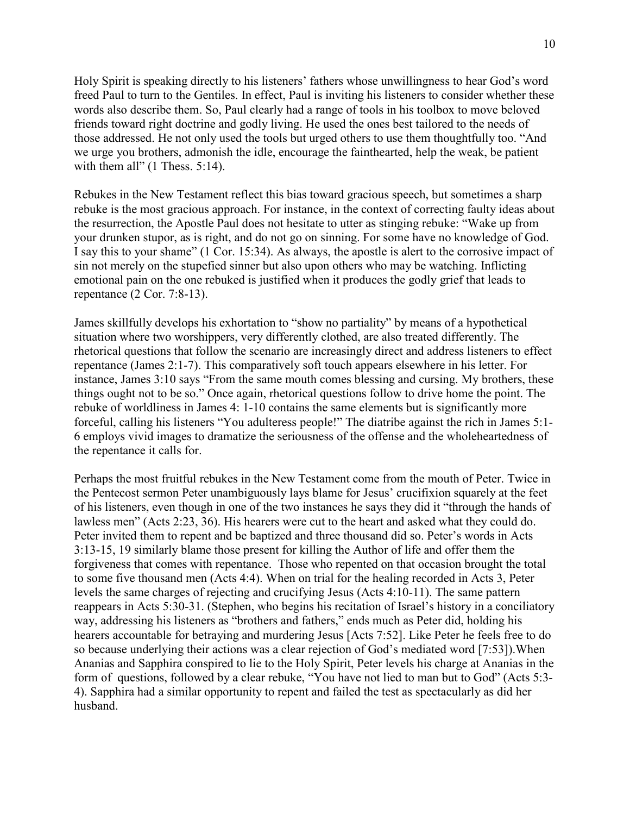Holy Spirit is speaking directly to his listeners' fathers whose unwillingness to hear God's word freed Paul to turn to the Gentiles. In effect, Paul is inviting his listeners to consider whether these words also describe them. So, Paul clearly had a range of tools in his toolbox to move beloved friends toward right doctrine and godly living. He used the ones best tailored to the needs of those addressed. He not only used the tools but urged others to use them thoughtfully too. "And we urge you brothers, admonish the idle, encourage the fainthearted, help the weak, be patient with them all" (1 Thess. 5:14).

Rebukes in the New Testament reflect this bias toward gracious speech, but sometimes a sharp rebuke is the most gracious approach. For instance, in the context of correcting faulty ideas about the resurrection, the Apostle Paul does not hesitate to utter as stinging rebuke: "Wake up from your drunken stupor, as is right, and do not go on sinning. For some have no knowledge of God. I say this to your shame" (1 Cor. 15:34). As always, the apostle is alert to the corrosive impact of sin not merely on the stupefied sinner but also upon others who may be watching. Inflicting emotional pain on the one rebuked is justified when it produces the godly grief that leads to repentance (2 Cor. 7:8-13).

James skillfully develops his exhortation to "show no partiality" by means of a hypothetical situation where two worshippers, very differently clothed, are also treated differently. The rhetorical questions that follow the scenario are increasingly direct and address listeners to effect repentance (James 2:1-7). This comparatively soft touch appears elsewhere in his letter. For instance, James 3:10 says "From the same mouth comes blessing and cursing. My brothers, these things ought not to be so." Once again, rhetorical questions follow to drive home the point. The rebuke of worldliness in James 4: 1-10 contains the same elements but is significantly more forceful, calling his listeners "You adulteress people!" The diatribe against the rich in James 5:1- 6 employs vivid images to dramatize the seriousness of the offense and the wholeheartedness of the repentance it calls for.

Perhaps the most fruitful rebukes in the New Testament come from the mouth of Peter. Twice in the Pentecost sermon Peter unambiguously lays blame for Jesus' crucifixion squarely at the feet of his listeners, even though in one of the two instances he says they did it "through the hands of lawless men" (Acts 2:23, 36). His hearers were cut to the heart and asked what they could do. Peter invited them to repent and be baptized and three thousand did so. Peter's words in Acts 3:13-15, 19 similarly blame those present for killing the Author of life and offer them the forgiveness that comes with repentance. Those who repented on that occasion brought the total to some five thousand men (Acts 4:4). When on trial for the healing recorded in Acts 3, Peter levels the same charges of rejecting and crucifying Jesus (Acts 4:10-11). The same pattern reappears in Acts 5:30-31. (Stephen, who begins his recitation of Israel's history in a conciliatory way, addressing his listeners as "brothers and fathers," ends much as Peter did, holding his hearers accountable for betraying and murdering Jesus [Acts 7:52]. Like Peter he feels free to do so because underlying their actions was a clear rejection of God's mediated word [7:53]).When Ananias and Sapphira conspired to lie to the Holy Spirit, Peter levels his charge at Ananias in the form of questions, followed by a clear rebuke, "You have not lied to man but to God" (Acts 5:3- 4). Sapphira had a similar opportunity to repent and failed the test as spectacularly as did her husband.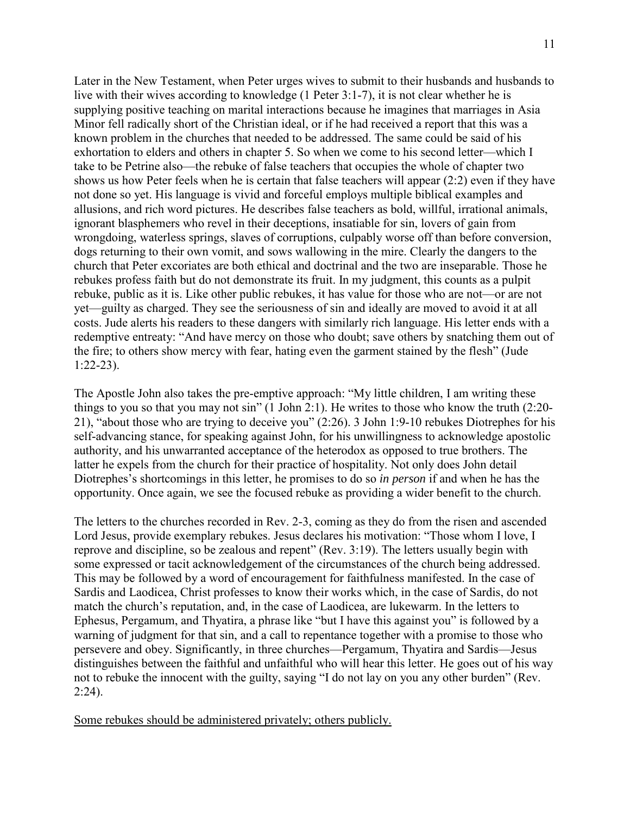Later in the New Testament, when Peter urges wives to submit to their husbands and husbands to live with their wives according to knowledge (1 Peter 3:1-7), it is not clear whether he is supplying positive teaching on marital interactions because he imagines that marriages in Asia Minor fell radically short of the Christian ideal, or if he had received a report that this was a known problem in the churches that needed to be addressed. The same could be said of his exhortation to elders and others in chapter 5. So when we come to his second letter—which I take to be Petrine also—the rebuke of false teachers that occupies the whole of chapter two shows us how Peter feels when he is certain that false teachers will appear (2:2) even if they have not done so yet. His language is vivid and forceful employs multiple biblical examples and allusions, and rich word pictures. He describes false teachers as bold, willful, irrational animals, ignorant blasphemers who revel in their deceptions, insatiable for sin, lovers of gain from wrongdoing, waterless springs, slaves of corruptions, culpably worse off than before conversion, dogs returning to their own vomit, and sows wallowing in the mire. Clearly the dangers to the church that Peter excoriates are both ethical and doctrinal and the two are inseparable. Those he rebukes profess faith but do not demonstrate its fruit. In my judgment, this counts as a pulpit rebuke, public as it is. Like other public rebukes, it has value for those who are not—or are not yet—guilty as charged. They see the seriousness of sin and ideally are moved to avoid it at all costs. Jude alerts his readers to these dangers with similarly rich language. His letter ends with a redemptive entreaty: "And have mercy on those who doubt; save others by snatching them out of the fire; to others show mercy with fear, hating even the garment stained by the flesh" (Jude 1:22-23).

The Apostle John also takes the pre-emptive approach: "My little children, I am writing these things to you so that you may not sin" (1 John 2:1). He writes to those who know the truth (2:20- 21), "about those who are trying to deceive you" (2:26). 3 John 1:9-10 rebukes Diotrephes for his self-advancing stance, for speaking against John, for his unwillingness to acknowledge apostolic authority, and his unwarranted acceptance of the heterodox as opposed to true brothers. The latter he expels from the church for their practice of hospitality. Not only does John detail Diotrephes's shortcomings in this letter, he promises to do so *in person* if and when he has the opportunity. Once again, we see the focused rebuke as providing a wider benefit to the church.

The letters to the churches recorded in Rev. 2-3, coming as they do from the risen and ascended Lord Jesus, provide exemplary rebukes. Jesus declares his motivation: "Those whom I love, I reprove and discipline, so be zealous and repent" (Rev. 3:19). The letters usually begin with some expressed or tacit acknowledgement of the circumstances of the church being addressed. This may be followed by a word of encouragement for faithfulness manifested. In the case of Sardis and Laodicea, Christ professes to know their works which, in the case of Sardis, do not match the church's reputation, and, in the case of Laodicea, are lukewarm. In the letters to Ephesus, Pergamum, and Thyatira, a phrase like "but I have this against you" is followed by a warning of judgment for that sin, and a call to repentance together with a promise to those who persevere and obey. Significantly, in three churches—Pergamum, Thyatira and Sardis—Jesus distinguishes between the faithful and unfaithful who will hear this letter. He goes out of his way not to rebuke the innocent with the guilty, saying "I do not lay on you any other burden" (Rev.  $2:24$ ).

Some rebukes should be administered privately; others publicly.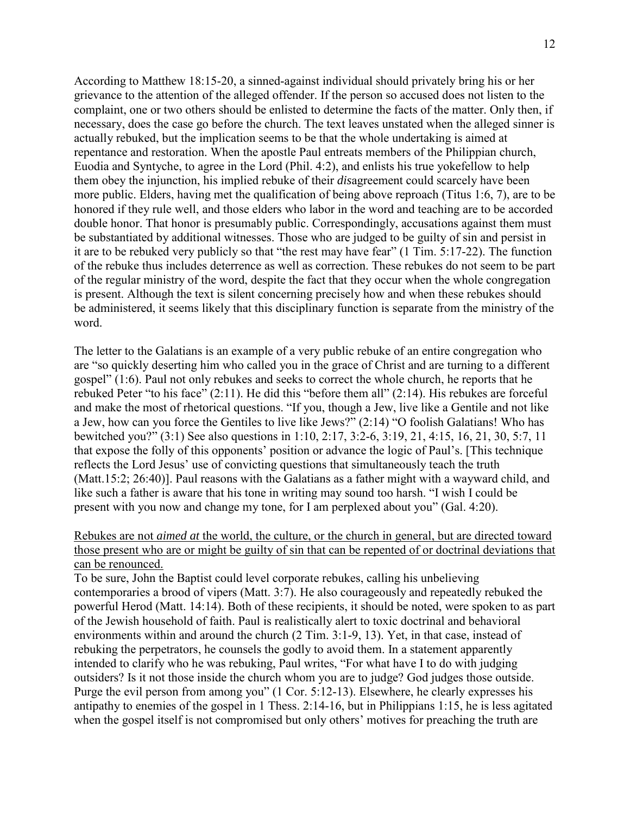According to Matthew 18:15-20, a sinned-against individual should privately bring his or her grievance to the attention of the alleged offender. If the person so accused does not listen to the complaint, one or two others should be enlisted to determine the facts of the matter. Only then, if necessary, does the case go before the church. The text leaves unstated when the alleged sinner is actually rebuked, but the implication seems to be that the whole undertaking is aimed at repentance and restoration. When the apostle Paul entreats members of the Philippian church, Euodia and Syntyche, to agree in the Lord (Phil. 4:2), and enlists his true yokefellow to help them obey the injunction, his implied rebuke of their *dis*agreement could scarcely have been more public. Elders, having met the qualification of being above reproach (Titus 1:6, 7), are to be honored if they rule well, and those elders who labor in the word and teaching are to be accorded double honor. That honor is presumably public. Correspondingly, accusations against them must be substantiated by additional witnesses. Those who are judged to be guilty of sin and persist in it are to be rebuked very publicly so that "the rest may have fear" (1 Tim. 5:17-22). The function of the rebuke thus includes deterrence as well as correction. These rebukes do not seem to be part of the regular ministry of the word, despite the fact that they occur when the whole congregation is present. Although the text is silent concerning precisely how and when these rebukes should be administered, it seems likely that this disciplinary function is separate from the ministry of the word.

The letter to the Galatians is an example of a very public rebuke of an entire congregation who are "so quickly deserting him who called you in the grace of Christ and are turning to a different gospel" (1:6). Paul not only rebukes and seeks to correct the whole church, he reports that he rebuked Peter "to his face" (2:11). He did this "before them all" (2:14). His rebukes are forceful and make the most of rhetorical questions. "If you, though a Jew, live like a Gentile and not like a Jew, how can you force the Gentiles to live like Jews?" (2:14) "O foolish Galatians! Who has bewitched you?" (3:1) See also questions in 1:10, 2:17, 3:2-6, 3:19, 21, 4:15, 16, 21, 30, 5:7, 11 that expose the folly of this opponents' position or advance the logic of Paul's. [This technique reflects the Lord Jesus' use of convicting questions that simultaneously teach the truth (Matt.15:2; 26:40)]. Paul reasons with the Galatians as a father might with a wayward child, and like such a father is aware that his tone in writing may sound too harsh. "I wish I could be present with you now and change my tone, for I am perplexed about you" (Gal. 4:20).

Rebukes are not *aimed at* the world, the culture, or the church in general, but are directed toward those present who are or might be guilty of sin that can be repented of or doctrinal deviations that can be renounced.

To be sure, John the Baptist could level corporate rebukes, calling his unbelieving contemporaries a brood of vipers (Matt. 3:7). He also courageously and repeatedly rebuked the powerful Herod (Matt. 14:14). Both of these recipients, it should be noted, were spoken to as part of the Jewish household of faith. Paul is realistically alert to toxic doctrinal and behavioral environments within and around the church (2 Tim. 3:1-9, 13). Yet, in that case, instead of rebuking the perpetrators, he counsels the godly to avoid them. In a statement apparently intended to clarify who he was rebuking, Paul writes, "For what have I to do with judging outsiders? Is it not those inside the church whom you are to judge? God judges those outside. Purge the evil person from among you" (1 Cor. 5:12-13). Elsewhere, he clearly expresses his antipathy to enemies of the gospel in 1 Thess. 2:14-16, but in Philippians 1:15, he is less agitated when the gospel itself is not compromised but only others' motives for preaching the truth are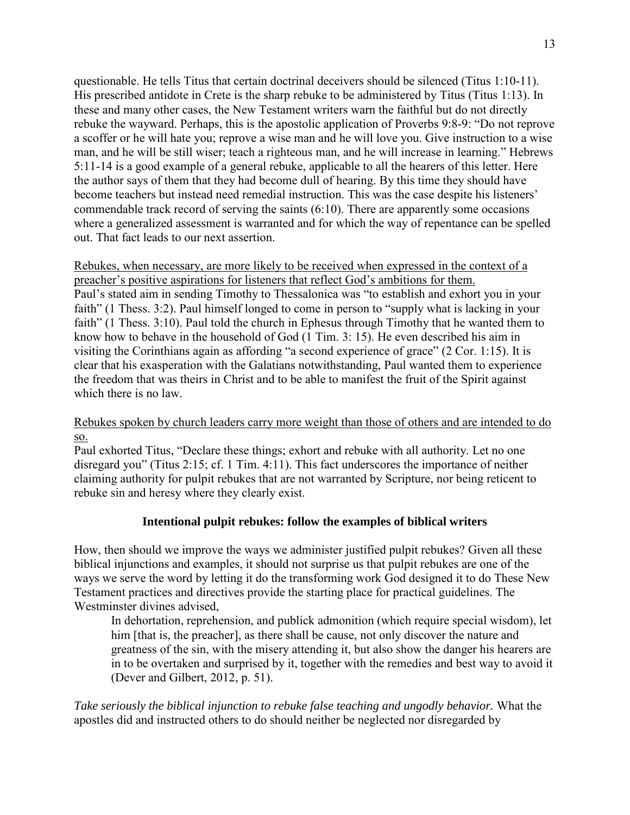questionable. He tells Titus that certain doctrinal deceivers should be silenced (Titus 1:10-11). His prescribed antidote in Crete is the sharp rebuke to be administered by Titus (Titus 1:13). In these and many other cases, the New Testament writers warn the faithful but do not directly rebuke the wayward. Perhaps, this is the apostolic application of Proverbs 9:8-9: "Do not reprove a scoffer or he will hate you; reprove a wise man and he will love you. Give instruction to a wise man, and he will be still wiser; teach a righteous man, and he will increase in learning." Hebrews 5:11-14 is a good example of a general rebuke, applicable to all the hearers of this letter. Here the author says of them that they had become dull of hearing. By this time they should have become teachers but instead need remedial instruction. This was the case despite his listeners' commendable track record of serving the saints (6:10). There are apparently some occasions where a generalized assessment is warranted and for which the way of repentance can be spelled out. That fact leads to our next assertion.

Rebukes, when necessary, are more likely to be received when expressed in the context of a preacher's positive aspirations for listeners that reflect God's ambitions for them. Paul's stated aim in sending Timothy to Thessalonica was "to establish and exhort you in your faith" (1 Thess. 3:2). Paul himself longed to come in person to "supply what is lacking in your faith" (1 Thess. 3:10). Paul told the church in Ephesus through Timothy that he wanted them to know how to behave in the household of God (1 Tim. 3: 15). He even described his aim in visiting the Corinthians again as affording "a second experience of grace" (2 Cor. 1:15). It is clear that his exasperation with the Galatians notwithstanding, Paul wanted them to experience the freedom that was theirs in Christ and to be able to manifest the fruit of the Spirit against which there is no law.

# Rebukes spoken by church leaders carry more weight than those of others and are intended to do so.

Paul exhorted Titus, "Declare these things; exhort and rebuke with all authority. Let no one disregard you" (Titus 2:15; cf. 1 Tim. 4:11). This fact underscores the importance of neither claiming authority for pulpit rebukes that are not warranted by Scripture, nor being reticent to rebuke sin and heresy where they clearly exist.

# **Intentional pulpit rebukes: follow the examples of biblical writers**

How, then should we improve the ways we administer justified pulpit rebukes? Given all these biblical injunctions and examples, it should not surprise us that pulpit rebukes are one of the ways we serve the word by letting it do the transforming work God designed it to do These New Testament practices and directives provide the starting place for practical guidelines. The Westminster divines advised,

In dehortation, reprehension, and publick admonition (which require special wisdom), let him [that is, the preacher], as there shall be cause, not only discover the nature and greatness of the sin, with the misery attending it, but also show the danger his hearers are in to be overtaken and surprised by it, together with the remedies and best way to avoid it (Dever and Gilbert, 2012, p. 51).

*Take seriously the biblical injunction to rebuke false teaching and ungodly behavior.* What the apostles did and instructed others to do should neither be neglected nor disregarded by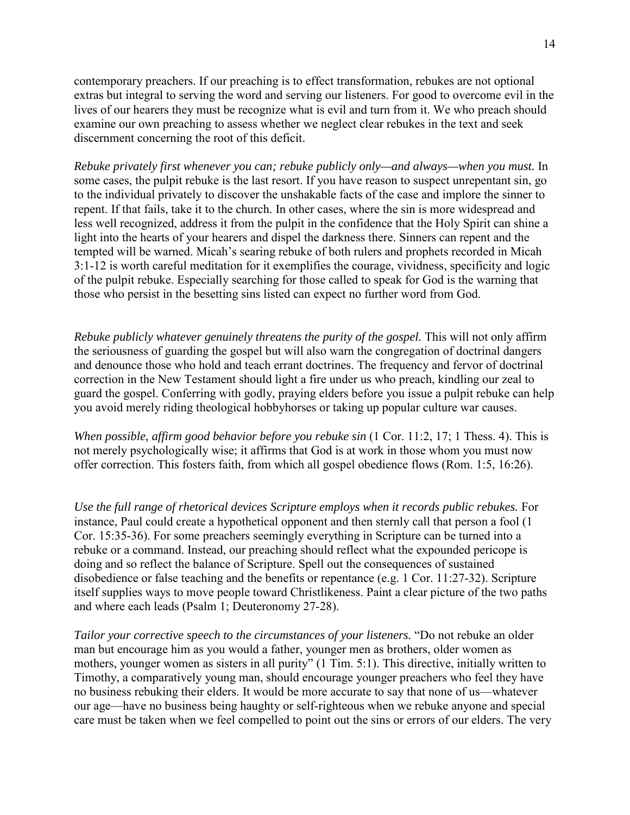contemporary preachers. If our preaching is to effect transformation, rebukes are not optional extras but integral to serving the word and serving our listeners. For good to overcome evil in the lives of our hearers they must be recognize what is evil and turn from it. We who preach should examine our own preaching to assess whether we neglect clear rebukes in the text and seek discernment concerning the root of this deficit.

*Rebuke privately first whenever you can; rebuke publicly only—and always—when you must.* In some cases, the pulpit rebuke is the last resort. If you have reason to suspect unrepentant sin, go to the individual privately to discover the unshakable facts of the case and implore the sinner to repent. If that fails, take it to the church. In other cases, where the sin is more widespread and less well recognized, address it from the pulpit in the confidence that the Holy Spirit can shine a light into the hearts of your hearers and dispel the darkness there. Sinners can repent and the tempted will be warned. Micah's searing rebuke of both rulers and prophets recorded in Micah 3:1-12 is worth careful meditation for it exemplifies the courage, vividness, specificity and logic of the pulpit rebuke. Especially searching for those called to speak for God is the warning that those who persist in the besetting sins listed can expect no further word from God.

*Rebuke publicly whatever genuinely threatens the purity of the gospel. This will not only affirm* the seriousness of guarding the gospel but will also warn the congregation of doctrinal dangers and denounce those who hold and teach errant doctrines. The frequency and fervor of doctrinal correction in the New Testament should light a fire under us who preach, kindling our zeal to guard the gospel. Conferring with godly, praying elders before you issue a pulpit rebuke can help you avoid merely riding theological hobbyhorses or taking up popular culture war causes.

*When possible, affirm good behavior before you rebuke sin* (1 Cor. 11:2, 17; 1 Thess. 4). This is not merely psychologically wise; it affirms that God is at work in those whom you must now offer correction. This fosters faith, from which all gospel obedience flows (Rom. 1:5, 16:26).

*Use the full range of rhetorical devices Scripture employs when it records public rebukes.* For instance, Paul could create a hypothetical opponent and then sternly call that person a fool (1 Cor. 15:35-36). For some preachers seemingly everything in Scripture can be turned into a rebuke or a command. Instead, our preaching should reflect what the expounded pericope is doing and so reflect the balance of Scripture. Spell out the consequences of sustained disobedience or false teaching and the benefits or repentance (e.g. 1 Cor. 11:27-32). Scripture itself supplies ways to move people toward Christlikeness. Paint a clear picture of the two paths and where each leads (Psalm 1; Deuteronomy 27-28).

*Tailor your corrective speech to the circumstances of your listeners.* "Do not rebuke an older man but encourage him as you would a father, younger men as brothers, older women as mothers, younger women as sisters in all purity" (1 Tim. 5:1). This directive, initially written to Timothy, a comparatively young man, should encourage younger preachers who feel they have no business rebuking their elders. It would be more accurate to say that none of us—whatever our age—have no business being haughty or self-righteous when we rebuke anyone and special care must be taken when we feel compelled to point out the sins or errors of our elders. The very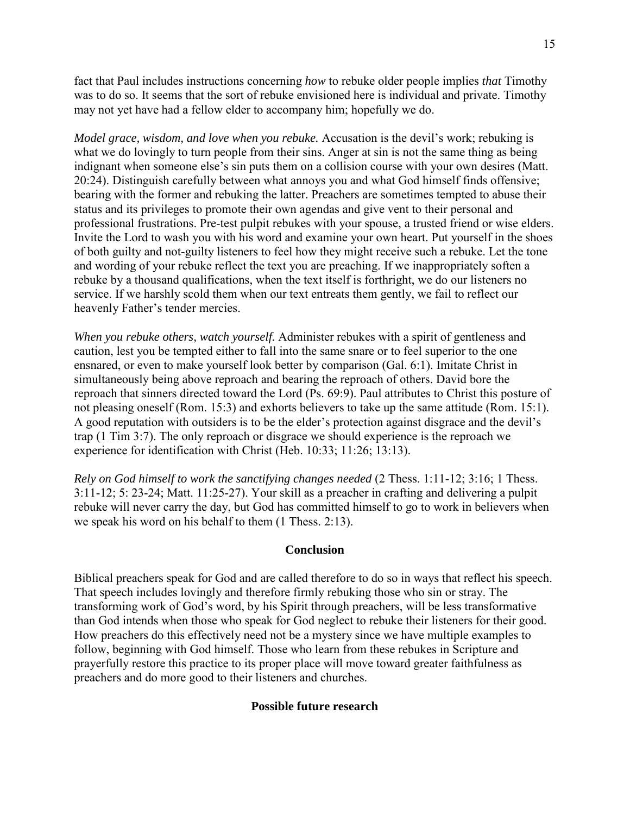fact that Paul includes instructions concerning *how* to rebuke older people implies *that* Timothy was to do so. It seems that the sort of rebuke envisioned here is individual and private. Timothy may not yet have had a fellow elder to accompany him; hopefully we do.

*Model grace, wisdom, and love when you rebuke.* Accusation is the devil's work; rebuking is what we do lovingly to turn people from their sins. Anger at sin is not the same thing as being indignant when someone else's sin puts them on a collision course with your own desires (Matt. 20:24). Distinguish carefully between what annoys you and what God himself finds offensive; bearing with the former and rebuking the latter. Preachers are sometimes tempted to abuse their status and its privileges to promote their own agendas and give vent to their personal and professional frustrations. Pre-test pulpit rebukes with your spouse, a trusted friend or wise elders. Invite the Lord to wash you with his word and examine your own heart. Put yourself in the shoes of both guilty and not-guilty listeners to feel how they might receive such a rebuke. Let the tone and wording of your rebuke reflect the text you are preaching. If we inappropriately soften a rebuke by a thousand qualifications, when the text itself is forthright, we do our listeners no service. If we harshly scold them when our text entreats them gently, we fail to reflect our heavenly Father's tender mercies.

*When you rebuke others, watch yourself.* Administer rebukes with a spirit of gentleness and caution, lest you be tempted either to fall into the same snare or to feel superior to the one ensnared, or even to make yourself look better by comparison (Gal. 6:1). Imitate Christ in simultaneously being above reproach and bearing the reproach of others. David bore the reproach that sinners directed toward the Lord (Ps. 69:9). Paul attributes to Christ this posture of not pleasing oneself (Rom. 15:3) and exhorts believers to take up the same attitude (Rom. 15:1). A good reputation with outsiders is to be the elder's protection against disgrace and the devil's trap (1 Tim 3:7). The only reproach or disgrace we should experience is the reproach we experience for identification with Christ (Heb. 10:33; 11:26; 13:13).

*Rely on God himself to work the sanctifying changes needed* (2 Thess. 1:11-12; 3:16; 1 Thess. 3:11-12; 5: 23-24; Matt. 11:25-27). Your skill as a preacher in crafting and delivering a pulpit rebuke will never carry the day, but God has committed himself to go to work in believers when we speak his word on his behalf to them (1 Thess. 2:13).

# **Conclusion**

Biblical preachers speak for God and are called therefore to do so in ways that reflect his speech. That speech includes lovingly and therefore firmly rebuking those who sin or stray. The transforming work of God's word, by his Spirit through preachers, will be less transformative than God intends when those who speak for God neglect to rebuke their listeners for their good. How preachers do this effectively need not be a mystery since we have multiple examples to follow, beginning with God himself. Those who learn from these rebukes in Scripture and prayerfully restore this practice to its proper place will move toward greater faithfulness as preachers and do more good to their listeners and churches.

### **Possible future research**